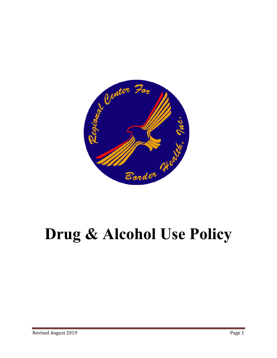

# **Drug & Alcohol Use Policy**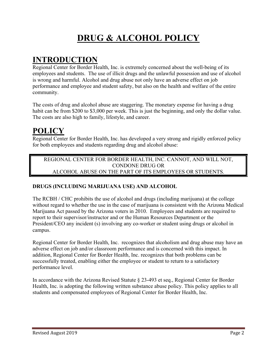# **DRUG & ALCOHOL POLICY**

### **INTRODUCTION**

Regional Center for Border Health, Inc. is extremely concerned about the well-being of its employees and students. The use of illicit drugs and the unlawful possession and use of alcohol is wrong and harmful. Alcohol and drug abuse not only have an adverse effect on job performance and employee and student safety, but also on the health and welfare of the entire community.

The costs of drug and alcohol abuse are staggering. The monetary expense for having a drug habit can be from \$200 to \$3,000 per week. This is just the beginning, and only the dollar value. The costs are also high to family, lifestyle, and career.

### **POLICY**

Regional Center for Border Health, Inc. has developed a very strong and rigidly enforced policy for both employees and students regarding drug and alcohol abuse:

REGIONAL CENTER FOR BORDER HEALTH, INC. CANNOT, AND WILL NOT, CONDONE DRUG OR ALCOHOL ABUSE ON THE PART OF ITS EMPLOYEES OR STUDENTS.

#### **DRUGS (INCLUDING MARIJUANA USE) AND ALCOHOL**

The RCBH / CHC prohibits the use of alcohol and drugs (including marijuana) at the college without regard to whether the use in the case of marijuana is consistent with the Arizona Medical Marijuana Act passed by the Arizona voters in 2010. Employees and students are required to report to their supervisor/instructor and or the Human Resources Department or the President/CEO any incident (s) involving any co-worker or student using drugs or alcohol in campus.

Regional Center for Border Health, Inc. recognizes that alcoholism and drug abuse may have an adverse effect on job and/or classroom performance and is concerned with this impact. In addition, Regional Center for Border Health, Inc. recognizes that both problems can be successfully treated, enabling either the employee or student to return to a satisfactory performance level.

In accordance with the Arizona Revised Statute § 23-493 et seq., Regional Center for Border Health, Inc. is adopting the following written substance abuse policy. This policy applies to all students and compensated employees of Regional Center for Border Health, Inc.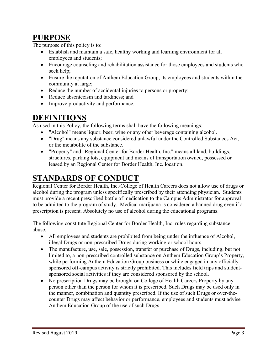### **PURPOSE**

The purpose of this policy is to:

- Establish and maintain a safe, healthy working and learning environment for all employees and students;
- Encourage counseling and rehabilitation assistance for those employees and students who seek help;
- Ensure the reputation of Anthem Education Group, its employees and students within the community at large;
- Reduce the number of accidental injuries to persons or property;
- Reduce absenteeism and tardiness; and
- Improve productivity and performance.

### **DEFINITIONS**

As used in this Policy, the following terms shall have the following meanings:

- "Alcohol" means liquor, beer, wine or any other beverage containing alcohol.
- "Drug" means any substance considered unlawful under the Controlled Substances Act, or the metabolite of the substance.
- "Property" and "Regional Center for Border Health, Inc." means all land, buildings, structures, parking lots, equipment and means of transportation owned, possessed or leased by an Regional Center for Border Health, Inc. location.

# **STANDARDS OF CONDUCT**

Regional Center for Border Health, Inc./College of Health Careers does not allow use of drugs or alcohol during the program unless specifically prescribed by their attending physician. Students must provide a recent prescribed bottle of medication to the Campus Administrator for approval to be admitted to the program of study. Medical marijuana is considered a banned drug even if a prescription is present. Absolutely no use of alcohol during the educational programs.

The following constitute Regional Center for Border Health, Inc. rules regarding substance abuse.

- All employees and students are prohibited from being under the influence of Alcohol, illegal Drugs or non-prescribed Drugs during working or school hours.
- The manufacture, use, sale, possession, transfer or purchase of Drugs, including, but not limited to, a non-prescribed controlled substance on Anthem Education Group's Property, while performing Anthem Education Group business or while engaged in any officially sponsored off-campus activity is strictly prohibited. This includes field trips and studentsponsored social activities if they are considered sponsored by the school.
- No prescription Drugs may be brought on College of Health Careers Property by any person other than the person for whom it is prescribed. Such Drugs may be used only in the manner, combination and quantity prescribed. If the use of such Drugs or over-thecounter Drugs may affect behavior or performance, employees and students must advise Anthem Education Group of the use of such Drugs.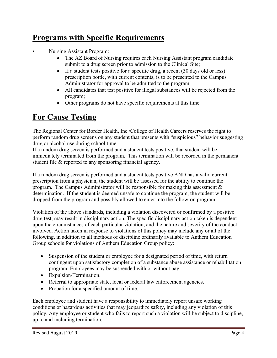### **Programs with Specific Requirements**

- Nursing Assistant Program:
	- The AZ Board of Nursing requires each Nursing Assistant program candidate submit to a drug screen prior to admission to the Clinical Site;
	- If a student tests positive for a specific drug, a recent  $(30 \text{ days old or less})$ prescription bottle, with current contents, is to be presented to the Campus Administrator for approval to be admitted to the program;
	- All candidates that test positive for illegal substances will be rejected from the program;
	- Other programs do not have specific requirements at this time.

### **For Cause Testing**

The Regional Center for Border Health, Inc./College of Health Careers reserves the right to perform random drug screens on any student that presents with "suspicious" behavior suggesting drug or alcohol use during school time.

If a random drug screen is performed and a student tests positive, that student will be immediately terminated from the program. This termination will be recorded in the permanent student file & reported to any sponsoring financial agency.

If a random drug screen is performed and a student tests positive AND has a valid current prescription from a physician, the student will be assessed for the ability to continue the program. The Campus Administrator will be responsible for making this assessment & determination. If the student is deemed unsafe to continue the program, the student will be dropped from the program and possibly allowed to enter into the follow-on program.

Violation of the above standards, including a violation discovered or confirmed by a positive drug test, may result in disciplinary action. The specific disciplinary action taken is dependent upon the circumstances of each particular violation, and the nature and severity of the conduct involved. Action taken in response to violations of this policy may include any or all of the following, in addition to all methods of discipline ordinarily available to Anthem Education Group schools for violations of Anthem Education Group policy:

- Suspension of the student or employee for a designated period of time, with return contingent upon satisfactory completion of a substance abuse assistance or rehabilitation program. Employees may be suspended with or without pay.
- Expulsion/Termination.
- Referral to appropriate state, local or federal law enforcement agencies.
- Probation for a specified amount of time.

Each employee and student have a responsibility to immediately report unsafe working conditions or hazardous activities that may jeopardize safety, including any violation of this policy. Any employee or student who fails to report such a violation will be subject to discipline, up to and including termination.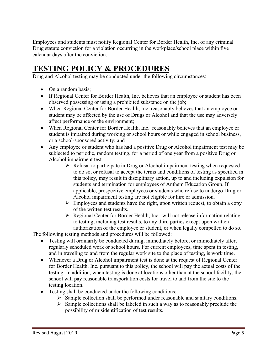Employees and students must notify Regional Center for Border Health, Inc. of any criminal Drug statute conviction for a violation occurring in the workplace/school place within five calendar days after the conviction.

### **TESTING POLICY & PROCEDURES**

Drug and Alcohol testing may be conducted under the following circumstances:

- On a random basis;
- If Regional Center for Border Health, Inc. believes that an employee or student has been observed possessing or using a prohibited substance on the job;
- When Regional Center for Border Health, Inc. reasonably believes that an employee or student may be affected by the use of Drugs or Alcohol and that the use may adversely affect performance or the environment;
- When Regional Center for Border Health, Inc. reasonably believes that an employee or student is impaired during working or school hours or while engaged in school business, or a school-sponsored activity; and
- Any employee or student who has had a positive Drug or Alcohol impairment test may be subjected to periodic, random testing, for a period of one year from a positive Drug or Alcohol impairment test.
	- $\triangleright$  Refusal to participate in Drug or Alcohol impairment testing when requested to do so, or refusal to accept the terms and conditions of testing as specified in this policy, may result in disciplinary action, up to and including expulsion for students and termination for employees of Anthem Education Group. If applicable, prospective employees or students who refuse to undergo Drug or Alcohol impairment testing are not eligible for hire or admission.
	- $\triangleright$  Employees and students have the right, upon written request, to obtain a copy of the written test results.
	- $\triangleright$  Regional Center for Border Health, Inc. will not release information relating to testing, including test results, to any third parties except upon written authorization of the employee or student, or when legally compelled to do so.

The following testing methods and procedures will be followed:

- Testing will ordinarily be conducted during, immediately before, or immediately after, regularly scheduled work or school hours. For current employees, time spent in testing, and in traveling to and from the regular work site to the place of testing, is work time.
- Whenever a Drug or Alcohol impairment test is done at the request of Regional Center for Border Health, Inc. pursuant to this policy, the school will pay the actual costs of the testing. In addition, when testing is done at locations other than at the school facility, the school will pay reasonable transportation costs for travel to and from the site to the testing location.
- Testing shall be conducted under the following conditions:
	- $\triangleright$  Sample collection shall be performed under reasonable and sanitary conditions.
	- $\triangleright$  Sample collections shall be labeled in such a way as to reasonably preclude the possibility of misidentification of test results.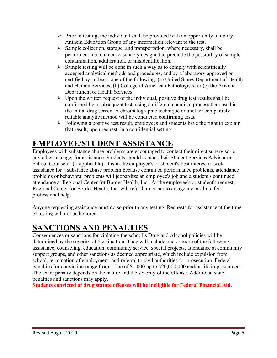- $\triangleright$  Prior to testing, the individual shall be provided with an opportunity to notify Anthem Education Group of any information relevant to the test.
- $\triangleright$  Sample collection, storage, and transportation, where necessary, shall be performed in a manner reasonably designed to preclude the possibility of sample contamination, adulteration, or misidentification.
- $\triangleright$  Sample testing will be done in such a way as to comply with scientifically accepted analytical methods and procedures, and by a laboratory approved or certified by, at least, one of the following: (a) United States Department of Health and Human Services; (b) College of American Pathologists; or (c) the Arizona Department of Health Services.
- $\triangleright$  Upon the written request of the individual, positive drug test results shall be confirmed by a subsequent test, using a different chemical process than used in the initial drug screen. A chromatographic technique or another comparably reliable analytic method will be conducted confirming tests.
- $\triangleright$  Following a positive test result, employees and students have the right to explain that result, upon request, in a confidential setting.

# **EMPLOYEE/STUDENT ASSISTANCE**

Employees with substance abuse problems are encouraged to contact their direct supervisor or any other manager for assistance. Students should contact their Student Services Advisor or School Counselor (if applicable). It is in the employee's or student's best interest to seek assistance for a substance abuse problem because continued performance problems, attendance problems or behavioral problems will jeopardize an employee's job and a student's continued attendance at Regional Center for Border Health, Inc. At the employee's or student's request, Regional Center for Border Health, Inc. will refer him or her to an agency or clinic for professional help.

Anyone requesting assistance must do so prior to any testing. Requests for assistance at the time of testing will not be honored.

# **SANCTIONS AND PENALTIES**

Consequences or sanctions for violating the school's Drug and Alcohol policies will be determined by the severity of the situation. They will include one or more of the following: assistance, counseling, education, community service, special projects, attendance at community support groups, and other sanctions as deemed appropriate, which include expulsion from school, termination of employment, and referral to civil authorities for prosecution. Federal penalties for conviction range from a fine of \$1,000 up to \$20,000,000 and/or life imprisonment. The exact penalty depends on the nature and the severity of the offense. Additional state penalties and sanctions may apply.

**Students convicted of drug statute offenses will be ineligible for Federal Financial Aid.**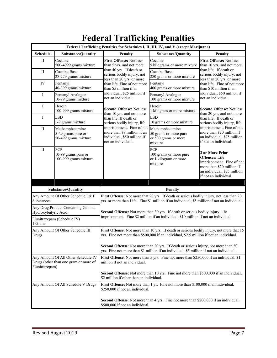| Federal Trafficking Penalties for Schedules I, II, III, IV, and V (except Marijuana)           |                                                               |                                                                                                                                                                                                                                                          |                                                                             |                                                                                                                                                                                                                                                          |  |
|------------------------------------------------------------------------------------------------|---------------------------------------------------------------|----------------------------------------------------------------------------------------------------------------------------------------------------------------------------------------------------------------------------------------------------------|-----------------------------------------------------------------------------|----------------------------------------------------------------------------------------------------------------------------------------------------------------------------------------------------------------------------------------------------------|--|
| <b>Schedule</b>                                                                                | <b>Substance/Quantity</b>                                     | <b>Penalty</b>                                                                                                                                                                                                                                           | <b>Substance/Quantity</b>                                                   | <b>Penalty</b>                                                                                                                                                                                                                                           |  |
| П                                                                                              | Cocaine<br>500-4999 grams mixture                             | First Offense: Not less<br>than 5 yrs. and not more<br>than 40 yrs. If death or<br>serious bodily injury, not<br>less than 20 yrs. or more<br>than life. Fine of not more<br>than \$5 million if an<br>individual, \$25 million if<br>not an individual. | Cocaine<br>5 kilograms or more mixture                                      | First Offense: Not less<br>than 10 yrs. and not more<br>than life. If death or<br>serious bodily injury, not<br>less than 20 yrs. or more<br>than life. Fine of not more<br>than \$10 million if an<br>individual, \$50 million if<br>not an individual. |  |
| $\mathop{\rm II}$                                                                              | Cocaine Base<br>28-279 grams mixture                          |                                                                                                                                                                                                                                                          | Cocaine Base<br>280 grams or more mixture                                   |                                                                                                                                                                                                                                                          |  |
| IV                                                                                             | Fentanyl<br>40-399 grams mixture                              |                                                                                                                                                                                                                                                          | Fentanyl<br>400 grams or more mixture                                       |                                                                                                                                                                                                                                                          |  |
| I                                                                                              | Fentanyl Analogue<br>10-99 grams mixture                      |                                                                                                                                                                                                                                                          | Fentanyl Analogue<br>100 grams or more mixture                              |                                                                                                                                                                                                                                                          |  |
| I                                                                                              | Heroin<br>100-999 grams mixture                               | <b>Second Offense: Not less</b><br>than 10 yrs. and not more                                                                                                                                                                                             | Heroin<br>1 kilogram or more mixture                                        | <b>Second Offense: Not less</b><br>than 20 yrs, and not more                                                                                                                                                                                             |  |
| I                                                                                              | <b>LSD</b><br>1-9 grams mixture                               | than life. If death or<br>serious bodily injury, life<br>imprisonment. Fine of not<br>more than \$8 million if an<br>individual, \$50 million if<br>not an individual.                                                                                   | <b>LSD</b><br>10 grams or more mixture                                      | than life. If death or<br>serious bodily injury, life<br>imprisonment. Fine of not<br>more than \$20 million if<br>an individual, \$75 million<br>if not an individual.                                                                                  |  |
| $\mathbf{I}$                                                                                   | Methamphetamine<br>5-49 grams pure or<br>50-499 grams mixture |                                                                                                                                                                                                                                                          | Methamphetamine<br>50 grams or more pure<br>or 500 grams or more<br>mixture |                                                                                                                                                                                                                                                          |  |
| $\mathbf{I}$                                                                                   | <b>PCP</b><br>10-99 grams pure or<br>100-999 grams mixture    |                                                                                                                                                                                                                                                          | <b>PCP</b><br>100 grams or more pure<br>or 1 kilogram or more<br>mixture    | 2 or More Prior<br><b>Offenses:</b> Life<br>imprisonment. Fine of not<br>more than \$20 million if<br>an individual, \$75 million<br>if not an individual.                                                                                               |  |
|                                                                                                |                                                               |                                                                                                                                                                                                                                                          |                                                                             |                                                                                                                                                                                                                                                          |  |
| Substance/Quantity                                                                             |                                                               | Penalty                                                                                                                                                                                                                                                  |                                                                             |                                                                                                                                                                                                                                                          |  |
| Any Amount Of Other Schedule I & II<br>Substances                                              |                                                               | First Offense: Not more that 20 yrs. If death or serious bodily injury, not less than 20<br>yrs. or more than Life. Fine \$1 million if an individual, \$5 million if not an individual.                                                                 |                                                                             |                                                                                                                                                                                                                                                          |  |
| Any Drug Product Containing Gamma<br>Hydroxybutyric Acid                                       |                                                               | Second Offense: Not more than 30 yrs. If death or serious bodily injury, life<br>imprisonment. Fine \$2 million if an individual, \$10 million if not an individual.                                                                                     |                                                                             |                                                                                                                                                                                                                                                          |  |
| Flunitrazepam (Schedule IV)<br>1 Gram                                                          |                                                               |                                                                                                                                                                                                                                                          |                                                                             |                                                                                                                                                                                                                                                          |  |
| Any Amount Of Other Schedule III<br>Drugs                                                      |                                                               | First Offense: Not more than 10 yrs. If death or serious bodily injury, not more that 15<br>yrs. Fine not more than \$500,000 if an individual, \$2.5 million if not an individual.                                                                      |                                                                             |                                                                                                                                                                                                                                                          |  |
|                                                                                                |                                                               | Second Offense: Not more than 20 yrs. If death or serious injury, not more than 30<br>yrs. Fine not more than \$1 million if an individual, \$5 million if not an individual.                                                                            |                                                                             |                                                                                                                                                                                                                                                          |  |
| Any Amount Of All Other Schedule IV<br>Drugs (other than one gram or more of<br>Flunitrazepam) |                                                               | First Offense: Not more than 5 yrs. Fine not more than \$250,000 if an individual, \$1<br>million if not an individual.                                                                                                                                  |                                                                             |                                                                                                                                                                                                                                                          |  |
|                                                                                                |                                                               | Second Offense: Not more than 10 yrs. Fine not more than \$500,000 if an individual,<br>\$2 million if other than an individual.                                                                                                                         |                                                                             |                                                                                                                                                                                                                                                          |  |
| Any Amount Of All Schedule V Drugs                                                             |                                                               | First Offense: Not more than 1 yr. Fine not more than \$100,000 if an individual,<br>\$250,000 if not an individual.                                                                                                                                     |                                                                             |                                                                                                                                                                                                                                                          |  |
|                                                                                                |                                                               | Second Offense: Not more than 4 yrs. Fine not more than \$200,000 if an individual,<br>\$500,000 if not an individual.                                                                                                                                   |                                                                             |                                                                                                                                                                                                                                                          |  |

# **Federal Trafficking Penalties**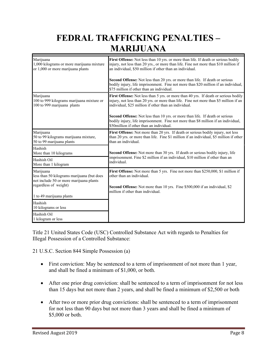# **FEDRAL TRAFFICKING PENALTIES – MARIJUANA**

| Marijuana<br>1,000 kilograms or more marijuana mixture<br>or 1,000 or more marijuana plants                                                             | First Offense: Not less than 10 yrs. or more than life. If death or serious bodily<br>injury, not less than 20 yrs., or more than life. Fine not more than \$10 million if<br>an individual, \$50 million if other than an individual.<br>Second Offense: Not less than 20 yrs. or more than life. If death or serious<br>bodily injury, life imprisonment. Fine not more than \$20 million if an individual,<br>\$75 million if other than an individual.      |  |
|---------------------------------------------------------------------------------------------------------------------------------------------------------|-----------------------------------------------------------------------------------------------------------------------------------------------------------------------------------------------------------------------------------------------------------------------------------------------------------------------------------------------------------------------------------------------------------------------------------------------------------------|--|
| Marijuana<br>100 to 999 kilograms marijuana mixture or<br>100 to 999 marijuana plants                                                                   | First Offense: Not less than 5 yrs. or more than 40 yrs. If death or serious bodily<br>injury, not less than 20 yrs. or more than life. Fine not more than \$5 million if an<br>individual, \$25 million if other than an individual.<br><b>Second Offense:</b> Not less than 10 yrs. or more than life. If death or serious<br>bodily injury, life imprisonment. Fine not more than \$8 million if an individual,<br>\$50 million if other than an individual. |  |
| Marijuana<br>50 to 99 kilograms marijuana mixture,<br>50 to 99 marijuana plants                                                                         | First Offense: Not more than 20 yrs. If death or serious bodily injury, not less<br>than 20 yrs. or more than life. Fine \$1 million if an individual, \$5 million if other<br>than an individual.                                                                                                                                                                                                                                                              |  |
| Hashish<br>More than 10 kilograms<br>Hashish Oil<br>More than 1 kilogram                                                                                | Second Offense: Not more than 30 yrs. If death or serious bodily injury, life<br>imprisonment. Fine \$2 million if an individual, \$10 million if other than an<br>individual.                                                                                                                                                                                                                                                                                  |  |
| Marijuana<br>less than 50 kilograms marijuana (but does<br>not include 50 or more marijuana plants<br>regardless of weight)<br>1 to 49 marijuana plants | First Offense: Not more than 5 yrs. Fine not more than \$250,000, \$1 million if<br>other than an individual.<br>Second Offense: Not more than 10 yrs. Fine \$500,000 if an individual, \$2<br>million if other than individual.                                                                                                                                                                                                                                |  |
| Hashish<br>10 kilograms or less                                                                                                                         |                                                                                                                                                                                                                                                                                                                                                                                                                                                                 |  |
| Hashish Oil<br>1 kilogram or less                                                                                                                       |                                                                                                                                                                                                                                                                                                                                                                                                                                                                 |  |

Title 21 United States Code (USC) Controlled Substance Act with regards to Penalties for Illegal Possession of a Controlled Substance:

21 U.S.C. Section 844 Simple Possession (a)

- First conviction: May be sentenced to a term of imprisonment of not more than 1 year, and shall be fined a minimum of \$1,000, or both.
- After one prior drug conviction: shall be sentenced to a term of imprisonment for not less than 15 days but not more than 2 years, and shall be fined a minimum of \$2,500 or both
- After two or more prior drug convictions: shall be sentenced to a term of imprisonment for not less than 90 days but not more than 3 years and shall be fined a minimum of \$5,000 or both.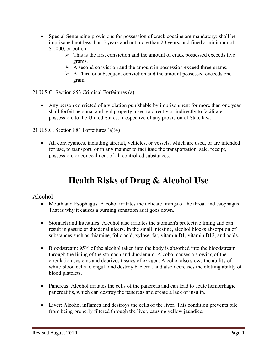- Special Sentencing provisions for possession of crack cocaine are mandatory: shall be imprisoned not less than 5 years and not more than 20 years, and fined a minimum of \$1,000, or both, if:
	- $\triangleright$  This is the first conviction and the amount of crack possessed exceeds five grams.
	- $\triangleright$  A second conviction and the amount in possession exceed three grams.
	- $\triangleright$  A Third or subsequent conviction and the amount possessed exceeds one gram.

21 U.S.C. Section 853 Criminal Forfeitures (a)

 Any person convicted of a violation punishable by imprisonment for more than one year shall forfeit personal and real property, used to directly or indirectly to facilitate possession, to the United States, irrespective of any provision of State law.

21 U.S.C. Section 881 Forfeitures (a)(4)

 All conveyances, including aircraft, vehicles, or vessels, which are used, or are intended for use, to transport, or in any manner to facilitate the transportation, sale, receipt, possession, or concealment of all controlled substances.

# **Health Risks of Drug & Alcohol Use**

#### Alcohol

- Mouth and Esophagus: Alcohol irritates the delicate linings of the throat and esophagus. That is why it causes a burning sensation as it goes down.
- Stomach and Intestines: Alcohol also irritates the stomach's protective lining and can result in gastric or duodenal ulcers. In the small intestine, alcohol blocks absorption of substances such as thiamine, folic acid, xylose, fat, vitamin B1, vitamin B12, and acids.
- Bloodstream: 95% of the alcohol taken into the body is absorbed into the bloodstream through the lining of the stomach and duodenum. Alcohol causes a slowing of the circulation systems and deprives tissues of oxygen. Alcohol also slows the ability of white blood cells to engulf and destroy bacteria, and also decreases the clotting ability of blood platelets.
- Pancreas: Alcohol irritates the cells of the pancreas and can lead to acute hemorrhagic pancreatitis, which can destroy the pancreas and create a lack of insulin.
- Liver: Alcohol inflames and destroys the cells of the liver. This condition prevents bile from being properly filtered through the liver, causing yellow jaundice.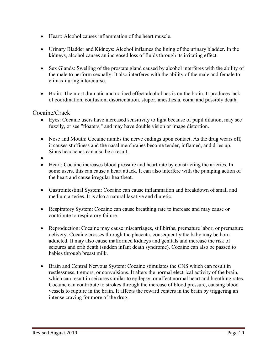- Heart: Alcohol causes inflammation of the heart muscle.
- Urinary Bladder and Kidneys: Alcohol inflames the lining of the urinary bladder. In the kidneys, alcohol causes an increased loss of fluids through its irritating effect.
- Sex Glands: Swelling of the prostate gland caused by alcohol interferes with the ability of the male to perform sexually. It also interferes with the ability of the male and female to climax during intercourse.
- Brain: The most dramatic and noticed effect alcohol has is on the brain. It produces lack of coordination, confusion, disorientation, stupor, anesthesia, coma and possibly death.

#### Cocaine/Crack

- Eyes: Cocaine users have increased sensitivity to light because of pupil dilation, may see fuzzily, or see "floaters," and may have double vision or image distortion.
- Nose and Mouth: Cocaine numbs the nerve endings upon contact. As the drug wears off, it causes stuffiness and the nasal membranes become tender, inflamed, and dries up. Sinus headaches can also be a result.
- $\bullet$
- Heart: Cocaine increases blood pressure and heart rate by constricting the arteries. In some users, this can cause a heart attack. It can also interfere with the pumping action of the heart and cause irregular heartbeat.
- Gastrointestinal System: Cocaine can cause inflammation and breakdown of small and medium arteries. It is also a natural laxative and diuretic.
- Respiratory System: Cocaine can cause breathing rate to increase and may cause or contribute to respiratory failure.
- Reproduction: Cocaine may cause miscarriages, stillbirths, premature labor, or premature delivery. Cocaine crosses through the placenta; consequently the baby may be born addicted. It may also cause malformed kidneys and genitals and increase the risk of seizures and crib death (sudden infant death syndrome). Cocaine can also be passed to babies through breast milk.
- Brain and Central Nervous System: Cocaine stimulates the CNS which can result in restlessness, tremors, or convulsions. It alters the normal electrical activity of the brain, which can result in seizures similar to epilepsy, or affect normal heart and breathing rates. Cocaine can contribute to strokes through the increase of blood pressure, causing blood vessels to rupture in the brain. It affects the reward centers in the brain by triggering an intense craving for more of the drug.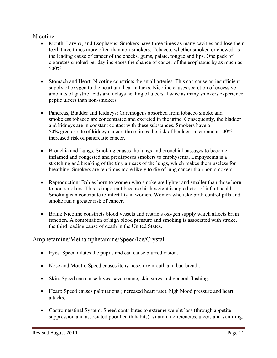#### Nicotine

- Mouth, Larynx, and Esophagus: Smokers have three times as many cavities and lose their teeth three times more often than non-smokers. Tobacco, whether smoked or chewed, is the leading cause of cancer of the cheeks, gums, palate, tongue and lips. One pack of cigarettes smoked per day increases the chance of cancer of the esophagus by as much as 500%.
- Stomach and Heart: Nicotine constricts the small arteries. This can cause an insufficient supply of oxygen to the heart and heart attacks. Nicotine causes secretion of excessive amounts of gastric acids and delays healing of ulcers. Twice as many smokers experience peptic ulcers than non-smokers.
- Pancreas, Bladder and Kidneys: Carcinogens absorbed from tobacco smoke and smokeless tobacco are concentrated and excreted in the urine. Consequently, the bladder and kidneys are in constant contact with these substances. Smokers have a 50% greater rate of kidney cancer, three times the risk of bladder cancer and a 100% increased risk of pancreatic cancer.
- Bronchia and Lungs: Smoking causes the lungs and bronchial passages to become inflamed and congested and predisposes smokers to emphysema. Emphysema is a stretching and breaking of the tiny air sacs of the lungs, which makes them useless for breathing. Smokers are ten times more likely to die of lung cancer than non-smokers.
- Reproduction: Babies born to women who smoke are lighter and smaller than those born to non-smokers. This is important because birth weight is a predictor of infant health. Smoking can contribute to infertility in women. Women who take birth control pills and smoke run a greater risk of cancer.
- Brain: Nicotine constricts blood vessels and restricts oxygen supply which affects brain function. A combination of high blood pressure and smoking is associated with stroke, the third leading cause of death in the United States.

#### Amphetamine/Methamphetamine/Speed/Ice/Crystal

- Eyes: Speed dilates the pupils and can cause blurred vision.
- Nose and Mouth: Speed causes itchy nose, dry mouth and bad breath.
- Skin: Speed can cause hives, severe acne, skin sores and general flushing.
- Heart: Speed causes palpitations (increased heart rate), high blood pressure and heart attacks.
- Gastrointestinal System: Speed contributes to extreme weight loss (through appetite suppression and associated poor health habits), vitamin deficiencies, ulcers and vomiting.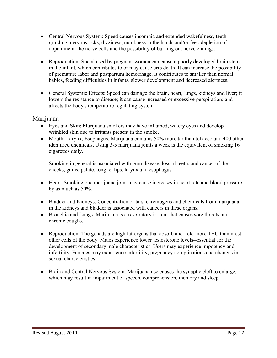- Central Nervous System: Speed causes insomnia and extended wakefulness, teeth grinding, nervous ticks, dizziness, numbness in the hands and/or feet, depletion of dopamine in the nerve cells and the possibility of burning out nerve endings.
- Reproduction: Speed used by pregnant women can cause a poorly developed brain stem in the infant, which contributes to or may cause crib death. It can increase the possibility of premature labor and postpartum hemorrhage. It contributes to smaller than normal babies, feeding difficulties in infants, slower development and decreased alertness.
- General Systemic Effects: Speed can damage the brain, heart, lungs, kidneys and liver; it lowers the resistance to disease; it can cause increased or excessive perspiration; and affects the body's temperature regulating system.

#### Marijuana

- Eyes and Skin: Marijuana smokers may have inflamed, watery eyes and develop wrinkled skin due to irritants present in the smoke.
- Mouth, Larynx, Esophagus: Marijuana contains 50% more tar than tobacco and 400 other identified chemicals. Using 3-5 marijuana joints a week is the equivalent of smoking 16 cigarettes daily.

Smoking in general is associated with gum disease, loss of teeth, and cancer of the cheeks, gums, palate, tongue, lips, larynx and esophagus.

- Heart: Smoking one marijuana joint may cause increases in heart rate and blood pressure by as much as 50%.
- Bladder and Kidneys: Concentration of tars, carcinogens and chemicals from marijuana in the kidneys and bladder is associated with cancers in these organs.
- Bronchia and Lungs: Marijuana is a respiratory irritant that causes sore throats and chronic coughs.
- Reproduction: The gonads are high fat organs that absorb and hold more THC than most other cells of the body. Males experience lower testosterone levels--essential for the development of secondary male characteristics. Users may experience impotency and infertility. Females may experience infertility, pregnancy complications and changes in sexual characteristics.
- Brain and Central Nervous System: Marijuana use causes the synaptic cleft to enlarge, which may result in impairment of speech, comprehension, memory and sleep.